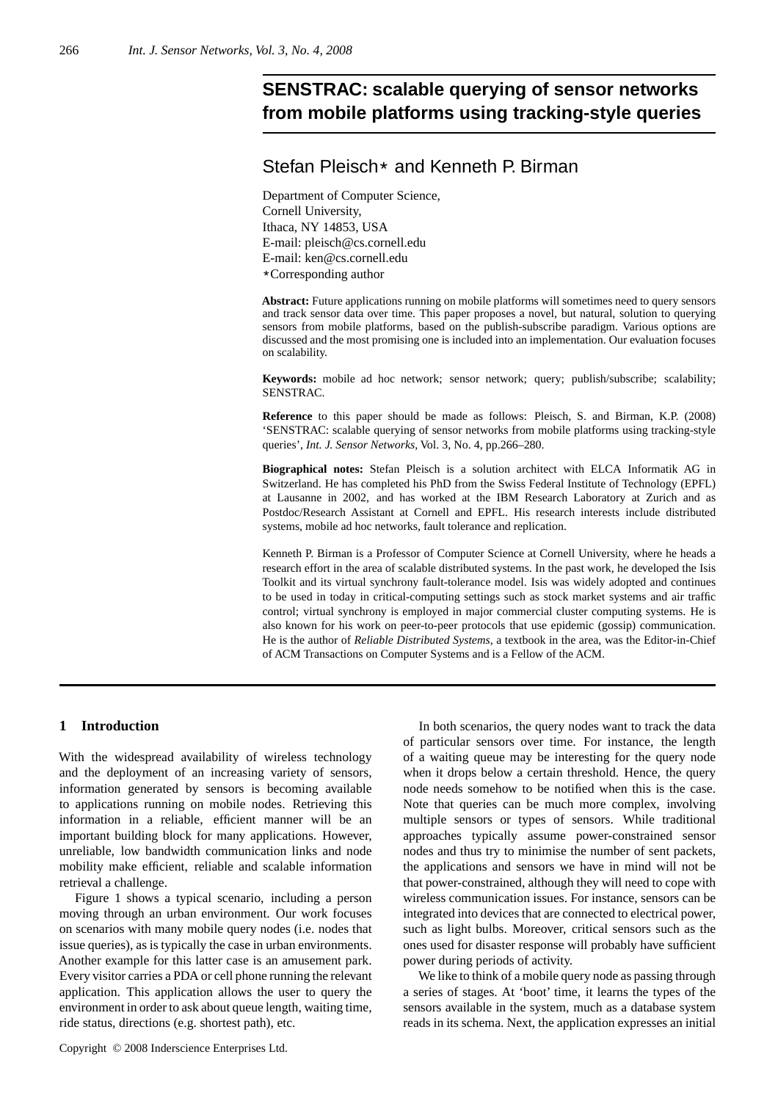# **SENSTRAC: scalable querying of sensor networks from mobile platforms using tracking-style queries**

## Stefan Pleisch\* and Kenneth P. Birman

Department of Computer Science, Cornell University, Ithaca, NY 14853, USA E-mail: pleisch@cs.cornell.edu E-mail: ken@cs.cornell.edu \*Corresponding author

**Abstract:** Future applications running on mobile platforms will sometimes need to query sensors and track sensor data over time. This paper proposes a novel, but natural, solution to querying sensors from mobile platforms, based on the publish-subscribe paradigm. Various options are discussed and the most promising one is included into an implementation. Our evaluation focuses on scalability.

**Keywords:** mobile ad hoc network; sensor network; query; publish/subscribe; scalability; SENSTRAC.

**Reference** to this paper should be made as follows: Pleisch, S. and Birman, K.P. (2008) 'SENSTRAC: scalable querying of sensor networks from mobile platforms using tracking-style queries', *Int. J. Sensor Networks,* Vol. 3, No. 4, pp.266–280.

**Biographical notes:** Stefan Pleisch is a solution architect with ELCA Informatik AG in Switzerland. He has completed his PhD from the Swiss Federal Institute of Technology (EPFL) at Lausanne in 2002, and has worked at the IBM Research Laboratory at Zurich and as Postdoc/Research Assistant at Cornell and EPFL. His research interests include distributed systems, mobile ad hoc networks, fault tolerance and replication.

Kenneth P. Birman is a Professor of Computer Science at Cornell University, where he heads a research effort in the area of scalable distributed systems. In the past work, he developed the Isis Toolkit and its virtual synchrony fault-tolerance model. Isis was widely adopted and continues to be used in today in critical-computing settings such as stock market systems and air traffic control; virtual synchrony is employed in major commercial cluster computing systems. He is also known for his work on peer-to-peer protocols that use epidemic (gossip) communication. He is the author of *Reliable Distributed Systems*, a textbook in the area, was the Editor-in-Chief of ACM Transactions on Computer Systems and is a Fellow of the ACM.

## **1 Introduction**

With the widespread availability of wireless technology and the deployment of an increasing variety of sensors, information generated by sensors is becoming available to applications running on mobile nodes. Retrieving this information in a reliable, efficient manner will be an important building block for many applications. However, unreliable, low bandwidth communication links and node mobility make efficient, reliable and scalable information retrieval a challenge.

Figure 1 shows a typical scenario, including a person moving through an urban environment. Our work focuses on scenarios with many mobile query nodes (i.e. nodes that issue queries), as is typically the case in urban environments. Another example for this latter case is an amusement park. Every visitor carries a PDA or cell phone running the relevant application. This application allows the user to query the environment in order to ask about queue length, waiting time, ride status, directions (e.g. shortest path), etc.

Copyright © 2008 Inderscience Enterprises Ltd.

In both scenarios, the query nodes want to track the data of particular sensors over time. For instance, the length of a waiting queue may be interesting for the query node when it drops below a certain threshold. Hence, the query node needs somehow to be notified when this is the case. Note that queries can be much more complex, involving multiple sensors or types of sensors. While traditional approaches typically assume power-constrained sensor nodes and thus try to minimise the number of sent packets, the applications and sensors we have in mind will not be that power-constrained, although they will need to cope with wireless communication issues. For instance, sensors can be integrated into devices that are connected to electrical power, such as light bulbs. Moreover, critical sensors such as the ones used for disaster response will probably have sufficient power during periods of activity.

We like to think of a mobile query node as passing through a series of stages. At 'boot' time, it learns the types of the sensors available in the system, much as a database system reads in its schema. Next, the application expresses an initial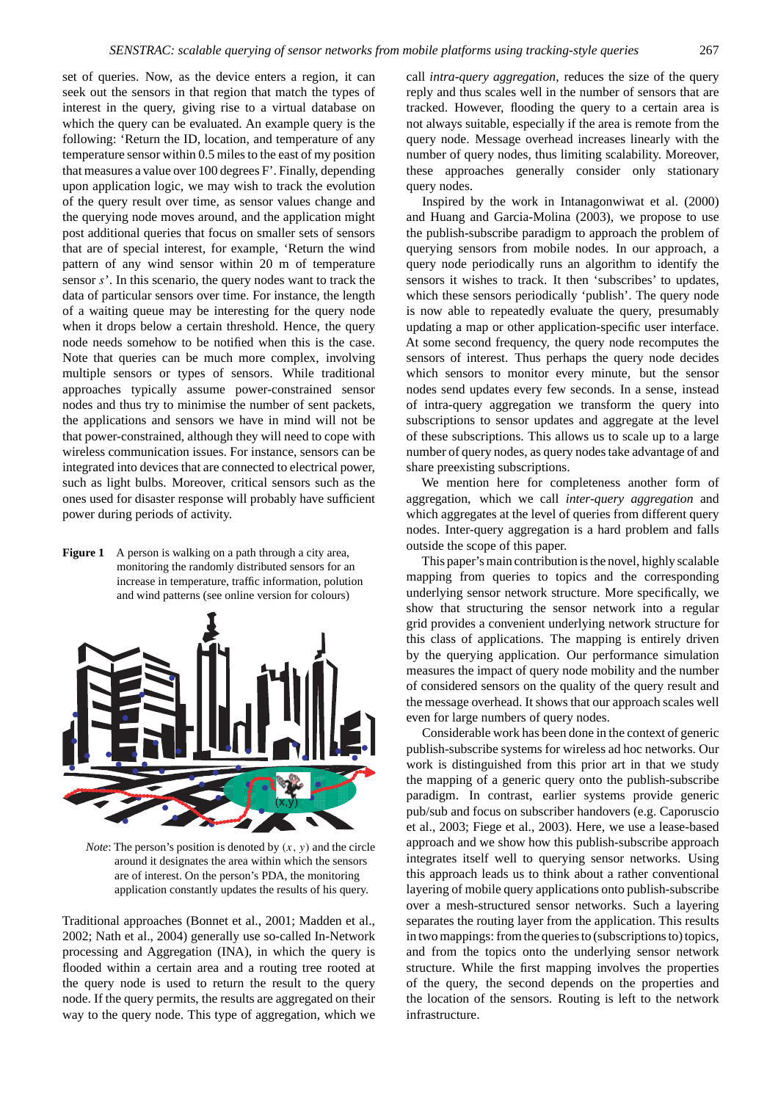set of queries. Now, as the device enters a region, it can seek out the sensors in that region that match the types of interest in the query, giving rise to a virtual database on which the query can be evaluated. An example query is the following: 'Return the ID, location, and temperature of any temperature sensor within 0.5 miles to the east of my position that measures a value over 100 degrees F'. Finally, depending upon application logic, we may wish to track the evolution of the query result over time, as sensor values change and the querying node moves around, and the application might post additional queries that focus on smaller sets of sensors that are of special interest, for example, 'Return the wind pattern of any wind sensor within 20 m of temperature sensor s'. In this scenario, the query nodes want to track the data of particular sensors over time. For instance, the length of a waiting queue may be interesting for the query node when it drops below a certain threshold. Hence, the query node needs somehow to be notified when this is the case. Note that queries can be much more complex, involving multiple sensors or types of sensors. While traditional approaches typically assume power-constrained sensor nodes and thus try to minimise the number of sent packets, the applications and sensors we have in mind will not be that power-constrained, although they will need to cope with wireless communication issues. For instance, sensors can be integrated into devices that are connected to electrical power, such as light bulbs. Moreover, critical sensors such as the ones used for disaster response will probably have sufficient power during periods of activity.

**Figure 1** A person is walking on a path through a city area, monitoring the randomly distributed sensors for an increase in temperature, traffic information, polution and wind patterns (see online version for colours)



*Note*: The person's position is denoted by  $(x, y)$  and the circle around it designates the area within which the sensors are of interest. On the person's PDA, the monitoring application constantly updates the results of his query.

Traditional approaches (Bonnet et al., 2001; Madden et al., 2002; Nath et al., 2004) generally use so-called In-Network processing and Aggregation (INA), in which the query is flooded within a certain area and a routing tree rooted at the query node is used to return the result to the query node. If the query permits, the results are aggregated on their way to the query node. This type of aggregation, which we

call *intra-query aggregation*, reduces the size of the query reply and thus scales well in the number of sensors that are tracked. However, flooding the query to a certain area is not always suitable, especially if the area is remote from the query node. Message overhead increases linearly with the number of query nodes, thus limiting scalability. Moreover, these approaches generally consider only stationary query nodes.

Inspired by the work in Intanagonwiwat et al. (2000) and Huang and Garcia-Molina (2003), we propose to use the publish-subscribe paradigm to approach the problem of querying sensors from mobile nodes. In our approach, a query node periodically runs an algorithm to identify the sensors it wishes to track. It then 'subscribes' to updates, which these sensors periodically 'publish'. The query node is now able to repeatedly evaluate the query, presumably updating a map or other application-specific user interface. At some second frequency, the query node recomputes the sensors of interest. Thus perhaps the query node decides which sensors to monitor every minute, but the sensor nodes send updates every few seconds. In a sense, instead of intra-query aggregation we transform the query into subscriptions to sensor updates and aggregate at the level of these subscriptions. This allows us to scale up to a large number of query nodes, as query nodes take advantage of and share preexisting subscriptions.

We mention here for completeness another form of aggregation, which we call *inter-query aggregation* and which aggregates at the level of queries from different query nodes. Inter-query aggregation is a hard problem and falls outside the scope of this paper.

This paper's main contribution is the novel, highly scalable mapping from queries to topics and the corresponding underlying sensor network structure. More specifically, we show that structuring the sensor network into a regular grid provides a convenient underlying network structure for this class of applications. The mapping is entirely driven by the querying application. Our performance simulation measures the impact of query node mobility and the number of considered sensors on the quality of the query result and the message overhead. It shows that our approach scales well even for large numbers of query nodes.

Considerable work has been done in the context of generic publish-subscribe systems for wireless ad hoc networks. Our work is distinguished from this prior art in that we study the mapping of a generic query onto the publish-subscribe paradigm. In contrast, earlier systems provide generic pub/sub and focus on subscriber handovers (e.g. Caporuscio et al., 2003; Fiege et al., 2003). Here, we use a lease-based approach and we show how this publish-subscribe approach integrates itself well to querying sensor networks. Using this approach leads us to think about a rather conventional layering of mobile query applications onto publish-subscribe over a mesh-structured sensor networks. Such a layering separates the routing layer from the application. This results in two mappings: from the queries to (subscriptions to) topics, and from the topics onto the underlying sensor network structure. While the first mapping involves the properties of the query, the second depends on the properties and the location of the sensors. Routing is left to the network infrastructure.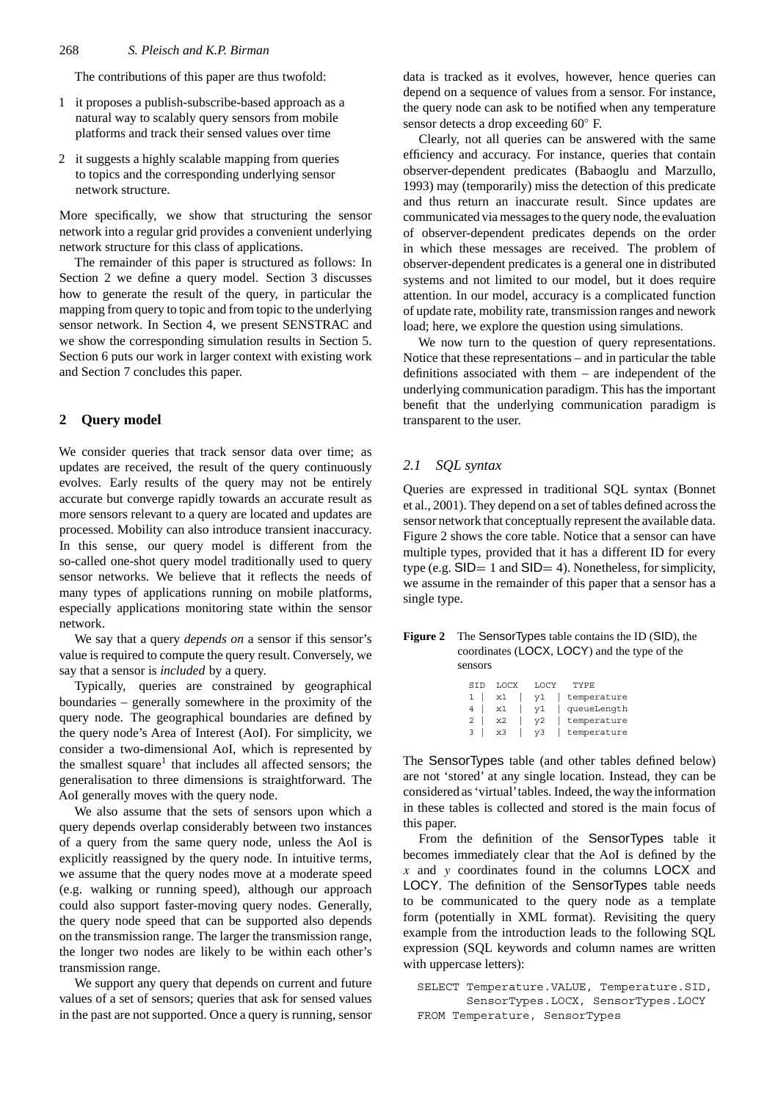The contributions of this paper are thus twofold:

- 1 it proposes a publish-subscribe-based approach as a natural way to scalably query sensors from mobile platforms and track their sensed values over time
- 2 it suggests a highly scalable mapping from queries to topics and the corresponding underlying sensor network structure.

More specifically, we show that structuring the sensor network into a regular grid provides a convenient underlying network structure for this class of applications.

The remainder of this paper is structured as follows: In Section 2 we define a query model. Section 3 discusses how to generate the result of the query, in particular the mapping from query to topic and from topic to the underlying sensor network. In Section 4, we present SENSTRAC and we show the corresponding simulation results in Section 5. Section 6 puts our work in larger context with existing work and Section 7 concludes this paper.

## **2 Query model**

We consider queries that track sensor data over time; as updates are received, the result of the query continuously evolves. Early results of the query may not be entirely accurate but converge rapidly towards an accurate result as more sensors relevant to a query are located and updates are processed. Mobility can also introduce transient inaccuracy. In this sense, our query model is different from the so-called one-shot query model traditionally used to query sensor networks. We believe that it reflects the needs of many types of applications running on mobile platforms, especially applications monitoring state within the sensor network.

We say that a query *depends on* a sensor if this sensor's value is required to compute the query result. Conversely, we say that a sensor is *included* by a query.

Typically, queries are constrained by geographical boundaries – generally somewhere in the proximity of the query node. The geographical boundaries are defined by the query node's Area of Interest (AoI). For simplicity, we consider a two-dimensional AoI, which is represented by the smallest square<sup>1</sup> that includes all affected sensors; the generalisation to three dimensions is straightforward. The AoI generally moves with the query node.

We also assume that the sets of sensors upon which a query depends overlap considerably between two instances of a query from the same query node, unless the AoI is explicitly reassigned by the query node. In intuitive terms, we assume that the query nodes move at a moderate speed (e.g. walking or running speed), although our approach could also support faster-moving query nodes. Generally, the query node speed that can be supported also depends on the transmission range. The larger the transmission range, the longer two nodes are likely to be within each other's transmission range.

We support any query that depends on current and future values of a set of sensors; queries that ask for sensed values in the past are not supported. Once a query is running, sensor data is tracked as it evolves, however, hence queries can depend on a sequence of values from a sensor. For instance, the query node can ask to be notified when any temperature sensor detects a drop exceeding 60 $\degree$  F.

Clearly, not all queries can be answered with the same efficiency and accuracy. For instance, queries that contain observer-dependent predicates (Babaoglu and Marzullo, 1993) may (temporarily) miss the detection of this predicate and thus return an inaccurate result. Since updates are communicated via messages to the query node, the evaluation of observer-dependent predicates depends on the order in which these messages are received. The problem of observer-dependent predicates is a general one in distributed systems and not limited to our model, but it does require attention. In our model, accuracy is a complicated function of update rate, mobility rate, transmission ranges and nework load; here, we explore the question using simulations.

We now turn to the question of query representations. Notice that these representations – and in particular the table definitions associated with them – are independent of the underlying communication paradigm. This has the important benefit that the underlying communication paradigm is transparent to the user.

## *2.1 SQL syntax*

Queries are expressed in traditional SQL syntax (Bonnet et al., 2001). They depend on a set of tables defined across the sensor network that conceptually represent the available data. Figure 2 shows the core table. Notice that a sensor can have multiple types, provided that it has a different ID for every type (e.g.  $SID = 1$  and  $SID = 4$ ). Nonetheless, for simplicity, we assume in the remainder of this paper that a sensor has a single type.

#### **Figure 2** The SensorTypes table contains the ID (SID), the coordinates (LOCX, LOCY) and the type of the sensors

| <b>LOCX</b> | <b>LOCY</b>    | TYPR        |
|-------------|----------------|-------------|
| $\times$ 1  | y1             | temperature |
| x1          | v1             | queueLength |
| x2          | v2             | temperature |
| x3          | V <sup>3</sup> | temperature |

The SensorTypes table (and other tables defined below) are not 'stored' at any single location. Instead, they can be considered as 'virtual'tables. Indeed, the way the information in these tables is collected and stored is the main focus of this paper.

From the definition of the SensorTypes table it becomes immediately clear that the AoI is defined by the  $x$  and  $y$  coordinates found in the columns LOCX and LOCY. The definition of the SensorTypes table needs to be communicated to the query node as a template form (potentially in XML format). Revisiting the query example from the introduction leads to the following SQL expression (SQL keywords and column names are written with uppercase letters):

```
SELECT Temperature.VALUE, Temperature.SID,
       SensorTypes.LOCX, SensorTypes.LOCY
FROM Temperature, SensorTypes
```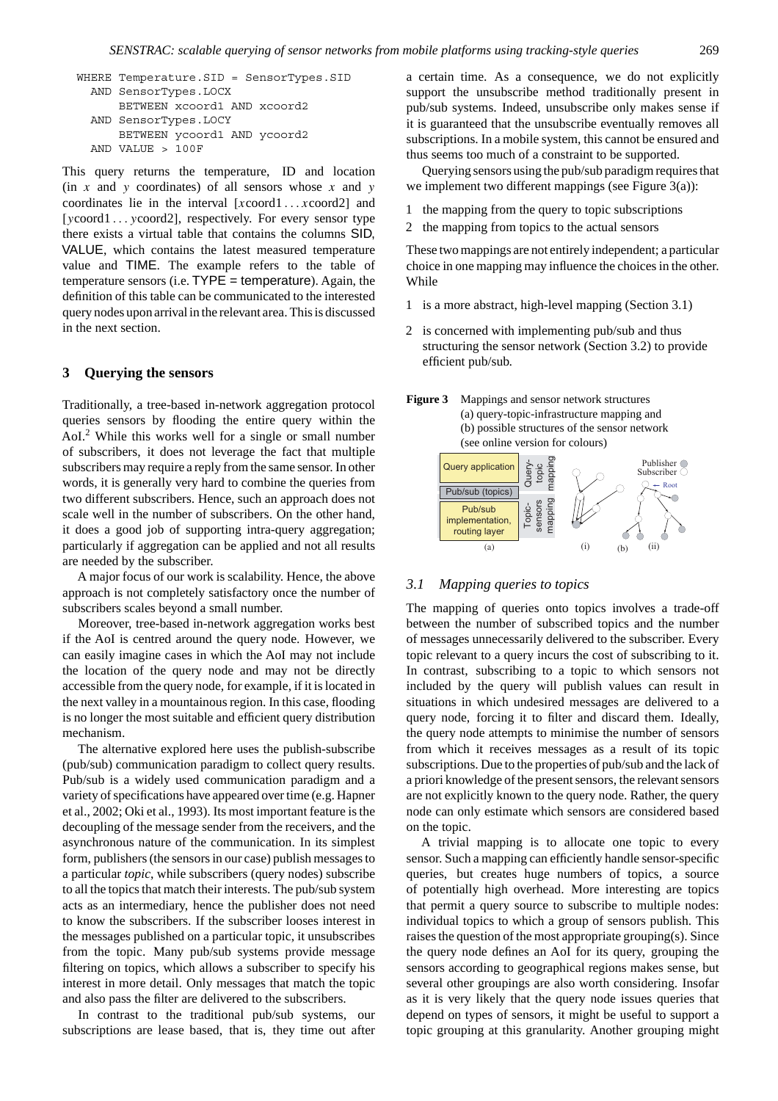```
WHERE Temperature.SID = SensorTypes.SID
 AND SensorTypes.LOCX
     BETWEEN xcoord1 AND xcoord2
 AND SensorTypes.LOCY
      BETWEEN ycoord1 AND ycoord2
 AND VALUE > 100F
```
This query returns the temperature, ID and location (in x and y coordinates) of all sensors whose x and y coordinates lie in the interval [xcoord1 ...xcoord2] and [ycoord1 ...ycoord2], respectively. For every sensor type there exists a virtual table that contains the columns SID, VALUE, which contains the latest measured temperature value and TIME. The example refers to the table of temperature sensors (i.e. TYPE = temperature). Again, the definition of this table can be communicated to the interested query nodes upon arrival in the relevant area. This is discussed in the next section.

#### **3 Querying the sensors**

Traditionally, a tree-based in-network aggregation protocol queries sensors by flooding the entire query within the AoI.<sup>2</sup> While this works well for a single or small number of subscribers, it does not leverage the fact that multiple subscribers may require a reply from the same sensor. In other words, it is generally very hard to combine the queries from two different subscribers. Hence, such an approach does not scale well in the number of subscribers. On the other hand, it does a good job of supporting intra-query aggregation; particularly if aggregation can be applied and not all results are needed by the subscriber.

A major focus of our work is scalability. Hence, the above approach is not completely satisfactory once the number of subscribers scales beyond a small number.

Moreover, tree-based in-network aggregation works best if the AoI is centred around the query node. However, we can easily imagine cases in which the AoI may not include the location of the query node and may not be directly accessible from the query node, for example, if it is located in the next valley in a mountainous region. In this case, flooding is no longer the most suitable and efficient query distribution mechanism.

The alternative explored here uses the publish-subscribe (pub/sub) communication paradigm to collect query results. Pub/sub is a widely used communication paradigm and a variety of specifications have appeared over time (e.g. Hapner et al., 2002; Oki et al., 1993). Its most important feature is the decoupling of the message sender from the receivers, and the asynchronous nature of the communication. In its simplest form, publishers (the sensors in our case) publish messages to a particular *topic*, while subscribers (query nodes) subscribe to all the topics that match their interests. The pub/sub system acts as an intermediary, hence the publisher does not need to know the subscribers. If the subscriber looses interest in the messages published on a particular topic, it unsubscribes from the topic. Many pub/sub systems provide message filtering on topics, which allows a subscriber to specify his interest in more detail. Only messages that match the topic and also pass the filter are delivered to the subscribers.

In contrast to the traditional pub/sub systems, our subscriptions are lease based, that is, they time out after

a certain time. As a consequence, we do not explicitly support the unsubscribe method traditionally present in pub/sub systems. Indeed, unsubscribe only makes sense if it is guaranteed that the unsubscribe eventually removes all subscriptions. In a mobile system, this cannot be ensured and thus seems too much of a constraint to be supported.

Querying sensors using the pub/sub paradigm requires that we implement two different mappings (see Figure 3(a)):

- 1 the mapping from the query to topic subscriptions
- 2 the mapping from topics to the actual sensors

These two mappings are not entirely independent; a particular choice in one mapping may influence the choices in the other. While

- 1 is a more abstract, high-level mapping (Section 3.1)
- 2 is concerned with implementing pub/sub and thus structuring the sensor network (Section 3.2) to provide efficient pub/sub.





#### *3.1 Mapping queries to topics*

The mapping of queries onto topics involves a trade-off between the number of subscribed topics and the number of messages unnecessarily delivered to the subscriber. Every topic relevant to a query incurs the cost of subscribing to it. In contrast, subscribing to a topic to which sensors not included by the query will publish values can result in situations in which undesired messages are delivered to a query node, forcing it to filter and discard them. Ideally, the query node attempts to minimise the number of sensors from which it receives messages as a result of its topic subscriptions. Due to the properties of pub/sub and the lack of a priori knowledge of the present sensors, the relevant sensors are not explicitly known to the query node. Rather, the query node can only estimate which sensors are considered based on the topic.

A trivial mapping is to allocate one topic to every sensor. Such a mapping can efficiently handle sensor-specific queries, but creates huge numbers of topics, a source of potentially high overhead. More interesting are topics that permit a query source to subscribe to multiple nodes: individual topics to which a group of sensors publish. This raises the question of the most appropriate grouping(s). Since the query node defines an AoI for its query, grouping the sensors according to geographical regions makes sense, but several other groupings are also worth considering. Insofar as it is very likely that the query node issues queries that depend on types of sensors, it might be useful to support a topic grouping at this granularity. Another grouping might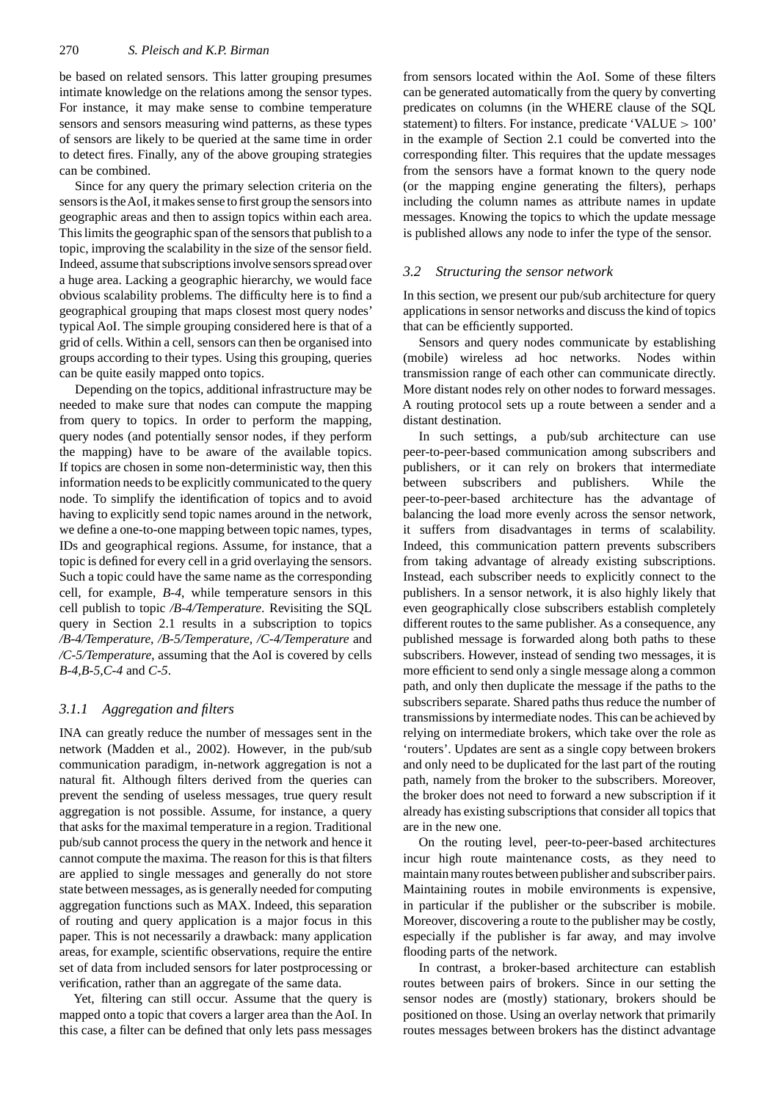be based on related sensors. This latter grouping presumes intimate knowledge on the relations among the sensor types. For instance, it may make sense to combine temperature sensors and sensors measuring wind patterns, as these types of sensors are likely to be queried at the same time in order to detect fires. Finally, any of the above grouping strategies can be combined.

Since for any query the primary selection criteria on the sensors is theAoI, it makes sense to first group the sensors into geographic areas and then to assign topics within each area. This limits the geographic span of the sensors that publish to a topic, improving the scalability in the size of the sensor field. Indeed, assume that subscriptions involve sensors spread over a huge area. Lacking a geographic hierarchy, we would face obvious scalability problems. The difficulty here is to find a geographical grouping that maps closest most query nodes' typical AoI. The simple grouping considered here is that of a grid of cells. Within a cell, sensors can then be organised into groups according to their types. Using this grouping, queries can be quite easily mapped onto topics.

Depending on the topics, additional infrastructure may be needed to make sure that nodes can compute the mapping from query to topics. In order to perform the mapping, query nodes (and potentially sensor nodes, if they perform the mapping) have to be aware of the available topics. If topics are chosen in some non-deterministic way, then this information needs to be explicitly communicated to the query node. To simplify the identification of topics and to avoid having to explicitly send topic names around in the network, we define a one-to-one mapping between topic names, types, IDs and geographical regions. Assume, for instance, that a topic is defined for every cell in a grid overlaying the sensors. Such a topic could have the same name as the corresponding cell, for example, *B-4*, while temperature sensors in this cell publish to topic */B-4/Temperature*. Revisiting the SQL query in Section 2.1 results in a subscription to topics */B-4/Temperature, /B-5/Temperature, /C-4/Temperature* and */C-5/Temperature*, assuming that the AoI is covered by cells *B-4,B-5,C-4* and *C-5*.

#### *3.1.1 Aggregation and filters*

INA can greatly reduce the number of messages sent in the network (Madden et al., 2002). However, in the pub/sub communication paradigm, in-network aggregation is not a natural fit. Although filters derived from the queries can prevent the sending of useless messages, true query result aggregation is not possible. Assume, for instance, a query that asks for the maximal temperature in a region. Traditional pub/sub cannot process the query in the network and hence it cannot compute the maxima. The reason for this is that filters are applied to single messages and generally do not store state between messages, as is generally needed for computing aggregation functions such as MAX. Indeed, this separation of routing and query application is a major focus in this paper. This is not necessarily a drawback: many application areas, for example, scientific observations, require the entire set of data from included sensors for later postprocessing or verification, rather than an aggregate of the same data.

Yet, filtering can still occur. Assume that the query is mapped onto a topic that covers a larger area than the AoI. In this case, a filter can be defined that only lets pass messages from sensors located within the AoI. Some of these filters can be generated automatically from the query by converting predicates on columns (in the WHERE clause of the SQL statement) to filters. For instance, predicate 'VALUE > 100' in the example of Section 2.1 could be converted into the corresponding filter. This requires that the update messages from the sensors have a format known to the query node (or the mapping engine generating the filters), perhaps including the column names as attribute names in update messages. Knowing the topics to which the update message is published allows any node to infer the type of the sensor.

#### *3.2 Structuring the sensor network*

In this section, we present our pub/sub architecture for query applications in sensor networks and discuss the kind of topics that can be efficiently supported.

Sensors and query nodes communicate by establishing (mobile) wireless ad hoc networks. Nodes within transmission range of each other can communicate directly. More distant nodes rely on other nodes to forward messages. A routing protocol sets up a route between a sender and a distant destination.

In such settings, a pub/sub architecture can use peer-to-peer-based communication among subscribers and publishers, or it can rely on brokers that intermediate between subscribers and publishers. While the peer-to-peer-based architecture has the advantage of balancing the load more evenly across the sensor network, it suffers from disadvantages in terms of scalability. Indeed, this communication pattern prevents subscribers from taking advantage of already existing subscriptions. Instead, each subscriber needs to explicitly connect to the publishers. In a sensor network, it is also highly likely that even geographically close subscribers establish completely different routes to the same publisher. As a consequence, any published message is forwarded along both paths to these subscribers. However, instead of sending two messages, it is more efficient to send only a single message along a common path, and only then duplicate the message if the paths to the subscribers separate. Shared paths thus reduce the number of transmissions by intermediate nodes. This can be achieved by relying on intermediate brokers, which take over the role as 'routers'. Updates are sent as a single copy between brokers and only need to be duplicated for the last part of the routing path, namely from the broker to the subscribers. Moreover, the broker does not need to forward a new subscription if it already has existing subscriptions that consider all topics that are in the new one.

On the routing level, peer-to-peer-based architectures incur high route maintenance costs, as they need to maintain many routes between publisher and subscriber pairs. Maintaining routes in mobile environments is expensive, in particular if the publisher or the subscriber is mobile. Moreover, discovering a route to the publisher may be costly, especially if the publisher is far away, and may involve flooding parts of the network.

In contrast, a broker-based architecture can establish routes between pairs of brokers. Since in our setting the sensor nodes are (mostly) stationary, brokers should be positioned on those. Using an overlay network that primarily routes messages between brokers has the distinct advantage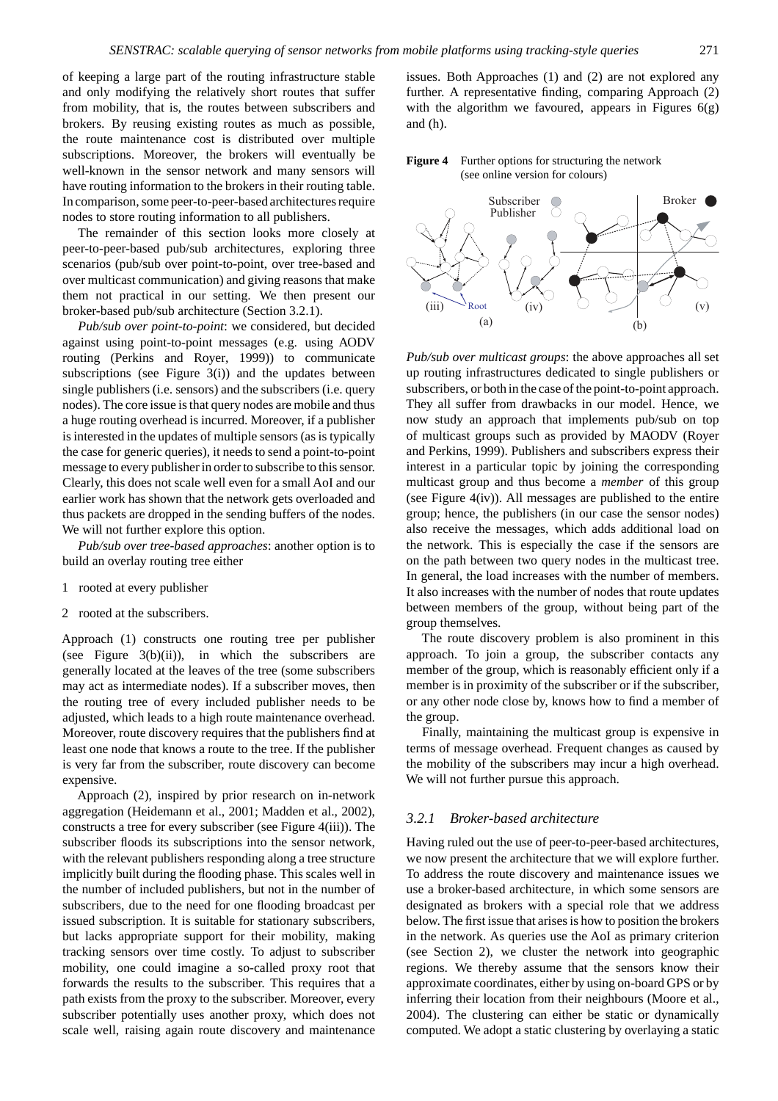of keeping a large part of the routing infrastructure stable and only modifying the relatively short routes that suffer from mobility, that is, the routes between subscribers and brokers. By reusing existing routes as much as possible, the route maintenance cost is distributed over multiple subscriptions. Moreover, the brokers will eventually be well-known in the sensor network and many sensors will have routing information to the brokers in their routing table. In comparison, some peer-to-peer-based architectures require nodes to store routing information to all publishers.

The remainder of this section looks more closely at peer-to-peer-based pub/sub architectures, exploring three scenarios (pub/sub over point-to-point, over tree-based and over multicast communication) and giving reasons that make them not practical in our setting. We then present our broker-based pub/sub architecture (Section 3.2.1).

*Pub/sub over point-to-point*: we considered, but decided against using point-to-point messages (e.g. using AODV routing (Perkins and Royer, 1999)) to communicate subscriptions (see Figure 3(i)) and the updates between single publishers (i.e. sensors) and the subscribers (i.e. query nodes). The core issue is that query nodes are mobile and thus a huge routing overhead is incurred. Moreover, if a publisher is interested in the updates of multiple sensors (as is typically the case for generic queries), it needs to send a point-to-point message to every publisher in order to subscribe to this sensor. Clearly, this does not scale well even for a small AoI and our earlier work has shown that the network gets overloaded and thus packets are dropped in the sending buffers of the nodes. We will not further explore this option.

*Pub/sub over tree-based approaches*: another option is to build an overlay routing tree either

- 1 rooted at every publisher
- 2 rooted at the subscribers.

Approach (1) constructs one routing tree per publisher (see Figure  $3(b)(ii)$ ), in which the subscribers are generally located at the leaves of the tree (some subscribers may act as intermediate nodes). If a subscriber moves, then the routing tree of every included publisher needs to be adjusted, which leads to a high route maintenance overhead. Moreover, route discovery requires that the publishers find at least one node that knows a route to the tree. If the publisher is very far from the subscriber, route discovery can become expensive.

Approach (2), inspired by prior research on in-network aggregation (Heidemann et al., 2001; Madden et al., 2002), constructs a tree for every subscriber (see Figure 4(iii)). The subscriber floods its subscriptions into the sensor network, with the relevant publishers responding along a tree structure implicitly built during the flooding phase. This scales well in the number of included publishers, but not in the number of subscribers, due to the need for one flooding broadcast per issued subscription. It is suitable for stationary subscribers, but lacks appropriate support for their mobility, making tracking sensors over time costly. To adjust to subscriber mobility, one could imagine a so-called proxy root that forwards the results to the subscriber. This requires that a path exists from the proxy to the subscriber. Moreover, every subscriber potentially uses another proxy, which does not scale well, raising again route discovery and maintenance

issues. Both Approaches (1) and (2) are not explored any further. A representative finding, comparing Approach (2) with the algorithm we favoured, appears in Figures  $6(g)$ and (h).





*Pub/sub over multicast groups*: the above approaches all set up routing infrastructures dedicated to single publishers or subscribers, or both in the case of the point-to-point approach. They all suffer from drawbacks in our model. Hence, we now study an approach that implements pub/sub on top of multicast groups such as provided by MAODV (Royer and Perkins, 1999). Publishers and subscribers express their interest in a particular topic by joining the corresponding multicast group and thus become a *member* of this group (see Figure 4(iv)). All messages are published to the entire group; hence, the publishers (in our case the sensor nodes) also receive the messages, which adds additional load on the network. This is especially the case if the sensors are on the path between two query nodes in the multicast tree. In general, the load increases with the number of members. It also increases with the number of nodes that route updates between members of the group, without being part of the group themselves.

The route discovery problem is also prominent in this approach. To join a group, the subscriber contacts any member of the group, which is reasonably efficient only if a member is in proximity of the subscriber or if the subscriber, or any other node close by, knows how to find a member of the group.

Finally, maintaining the multicast group is expensive in terms of message overhead. Frequent changes as caused by the mobility of the subscribers may incur a high overhead. We will not further pursue this approach.

## *3.2.1 Broker-based architecture*

Having ruled out the use of peer-to-peer-based architectures, we now present the architecture that we will explore further. To address the route discovery and maintenance issues we use a broker-based architecture, in which some sensors are designated as brokers with a special role that we address below. The first issue that arises is how to position the brokers in the network. As queries use the AoI as primary criterion (see Section 2), we cluster the network into geographic regions. We thereby assume that the sensors know their approximate coordinates, either by using on-board GPS or by inferring their location from their neighbours (Moore et al., 2004). The clustering can either be static or dynamically computed. We adopt a static clustering by overlaying a static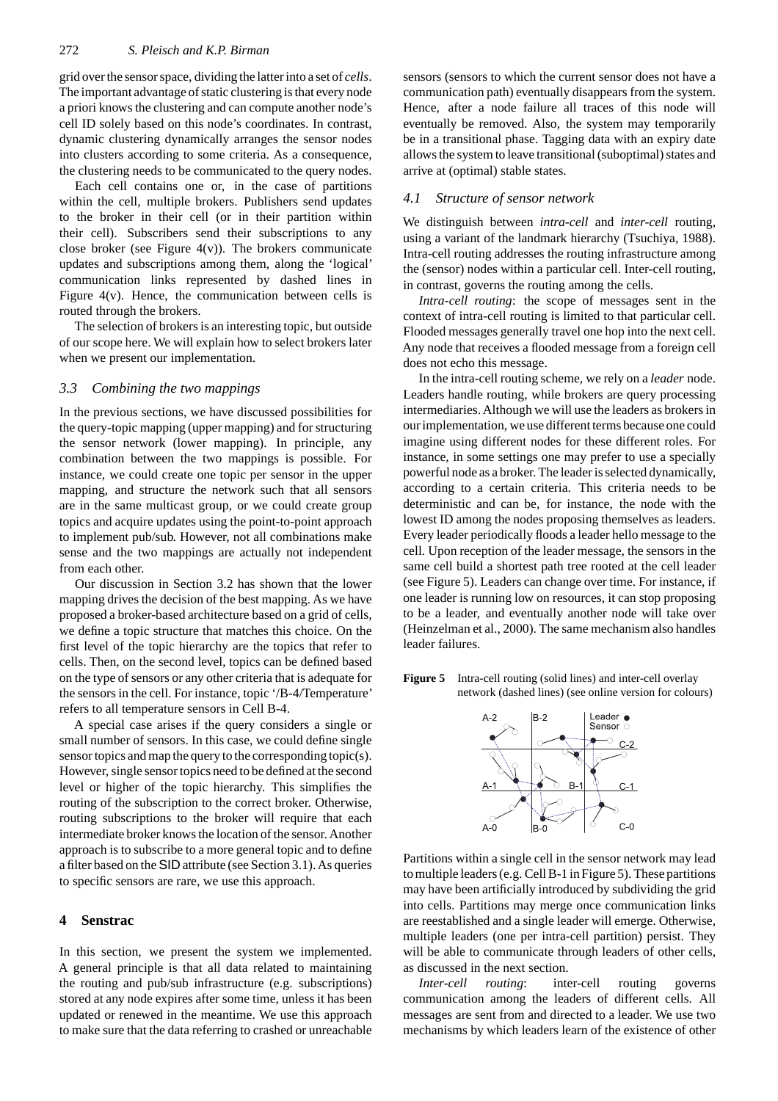grid over the sensor space, dividing the latter into a set of *cells*. The important advantage of static clustering is that every node a priori knows the clustering and can compute another node's cell ID solely based on this node's coordinates. In contrast, dynamic clustering dynamically arranges the sensor nodes into clusters according to some criteria. As a consequence, the clustering needs to be communicated to the query nodes.

Each cell contains one or, in the case of partitions within the cell, multiple brokers. Publishers send updates to the broker in their cell (or in their partition within their cell). Subscribers send their subscriptions to any close broker (see Figure  $4(v)$ ). The brokers communicate updates and subscriptions among them, along the 'logical' communication links represented by dashed lines in Figure  $4(v)$ . Hence, the communication between cells is routed through the brokers.

The selection of brokers is an interesting topic, but outside of our scope here. We will explain how to select brokers later when we present our implementation.

#### *3.3 Combining the two mappings*

In the previous sections, we have discussed possibilities for the query-topic mapping (upper mapping) and for structuring the sensor network (lower mapping). In principle, any combination between the two mappings is possible. For instance, we could create one topic per sensor in the upper mapping, and structure the network such that all sensors are in the same multicast group, or we could create group topics and acquire updates using the point-to-point approach to implement pub/sub. However, not all combinations make sense and the two mappings are actually not independent from each other.

Our discussion in Section 3.2 has shown that the lower mapping drives the decision of the best mapping. As we have proposed a broker-based architecture based on a grid of cells, we define a topic structure that matches this choice. On the first level of the topic hierarchy are the topics that refer to cells. Then, on the second level, topics can be defined based on the type of sensors or any other criteria that is adequate for the sensors in the cell. For instance, topic '/B-4/Temperature' refers to all temperature sensors in Cell B-4.

A special case arises if the query considers a single or small number of sensors. In this case, we could define single sensor topics and map the query to the corresponding topic(s). However, single sensor topics need to be defined at the second level or higher of the topic hierarchy. This simplifies the routing of the subscription to the correct broker. Otherwise, routing subscriptions to the broker will require that each intermediate broker knows the location of the sensor. Another approach is to subscribe to a more general topic and to define a filter based on the SID attribute (see Section 3.1). As queries to specific sensors are rare, we use this approach.

#### **4 Senstrac**

In this section, we present the system we implemented. A general principle is that all data related to maintaining the routing and pub/sub infrastructure (e.g. subscriptions) stored at any node expires after some time, unless it has been updated or renewed in the meantime. We use this approach to make sure that the data referring to crashed or unreachable

sensors (sensors to which the current sensor does not have a communication path) eventually disappears from the system. Hence, after a node failure all traces of this node will eventually be removed. Also, the system may temporarily be in a transitional phase. Tagging data with an expiry date allows the system to leave transitional (suboptimal) states and arrive at (optimal) stable states.

#### *4.1 Structure of sensor network*

We distinguish between *intra-cell* and *inter-cell* routing, using a variant of the landmark hierarchy (Tsuchiya, 1988). Intra-cell routing addresses the routing infrastructure among the (sensor) nodes within a particular cell. Inter-cell routing, in contrast, governs the routing among the cells.

*Intra-cell routing*: the scope of messages sent in the context of intra-cell routing is limited to that particular cell. Flooded messages generally travel one hop into the next cell. Any node that receives a flooded message from a foreign cell does not echo this message.

In the intra-cell routing scheme, we rely on a *leader* node. Leaders handle routing, while brokers are query processing intermediaries. Although we will use the leaders as brokers in our implementation, we use different terms because one could imagine using different nodes for these different roles. For instance, in some settings one may prefer to use a specially powerful node as a broker. The leader is selected dynamically, according to a certain criteria. This criteria needs to be deterministic and can be, for instance, the node with the lowest ID among the nodes proposing themselves as leaders. Every leader periodically floods a leader hello message to the cell. Upon reception of the leader message, the sensors in the same cell build a shortest path tree rooted at the cell leader (see Figure 5). Leaders can change over time. For instance, if one leader is running low on resources, it can stop proposing to be a leader, and eventually another node will take over (Heinzelman et al., 2000). The same mechanism also handles leader failures.



**Figure 5** Intra-cell routing (solid lines) and inter-cell overlay network (dashed lines) (see online version for colours)

Partitions within a single cell in the sensor network may lead to multiple leaders (e.g. Cell B-1 in Figure 5). These partitions may have been artificially introduced by subdividing the grid into cells. Partitions may merge once communication links are reestablished and a single leader will emerge. Otherwise, multiple leaders (one per intra-cell partition) persist. They will be able to communicate through leaders of other cells, as discussed in the next section.

*Inter-cell routing*: inter-cell routing governs communication among the leaders of different cells. All messages are sent from and directed to a leader. We use two mechanisms by which leaders learn of the existence of other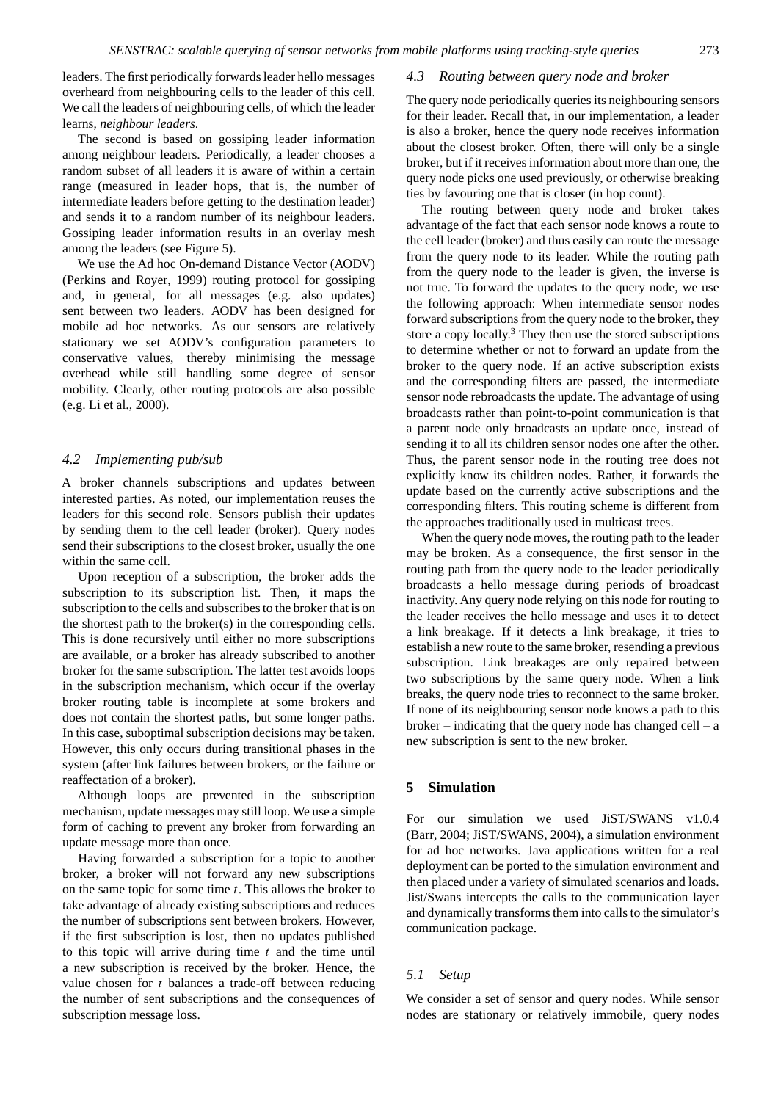leaders. The first periodically forwards leader hello messages overheard from neighbouring cells to the leader of this cell. We call the leaders of neighbouring cells, of which the leader learns, *neighbour leaders*.

The second is based on gossiping leader information among neighbour leaders. Periodically, a leader chooses a random subset of all leaders it is aware of within a certain range (measured in leader hops, that is, the number of intermediate leaders before getting to the destination leader) and sends it to a random number of its neighbour leaders. Gossiping leader information results in an overlay mesh among the leaders (see Figure 5).

We use the Ad hoc On-demand Distance Vector (AODV) (Perkins and Royer, 1999) routing protocol for gossiping and, in general, for all messages (e.g. also updates) sent between two leaders. AODV has been designed for mobile ad hoc networks. As our sensors are relatively stationary we set AODV's configuration parameters to conservative values, thereby minimising the message overhead while still handling some degree of sensor mobility. Clearly, other routing protocols are also possible (e.g. Li et al., 2000).

## *4.2 Implementing pub/sub*

A broker channels subscriptions and updates between interested parties. As noted, our implementation reuses the leaders for this second role. Sensors publish their updates by sending them to the cell leader (broker). Query nodes send their subscriptions to the closest broker, usually the one within the same cell.

Upon reception of a subscription, the broker adds the subscription to its subscription list. Then, it maps the subscription to the cells and subscribes to the broker that is on the shortest path to the broker(s) in the corresponding cells. This is done recursively until either no more subscriptions are available, or a broker has already subscribed to another broker for the same subscription. The latter test avoids loops in the subscription mechanism, which occur if the overlay broker routing table is incomplete at some brokers and does not contain the shortest paths, but some longer paths. In this case, suboptimal subscription decisions may be taken. However, this only occurs during transitional phases in the system (after link failures between brokers, or the failure or reaffectation of a broker).

Although loops are prevented in the subscription mechanism, update messages may still loop. We use a simple form of caching to prevent any broker from forwarding an update message more than once.

Having forwarded a subscription for a topic to another broker, a broker will not forward any new subscriptions on the same topic for some time t. This allows the broker to take advantage of already existing subscriptions and reduces the number of subscriptions sent between brokers. However, if the first subscription is lost, then no updates published to this topic will arrive during time  $t$  and the time until a new subscription is received by the broker. Hence, the value chosen for  $t$  balances a trade-off between reducing the number of sent subscriptions and the consequences of subscription message loss.

#### *4.3 Routing between query node and broker*

The query node periodically queries its neighbouring sensors for their leader. Recall that, in our implementation, a leader is also a broker, hence the query node receives information about the closest broker. Often, there will only be a single broker, but if it receives information about more than one, the query node picks one used previously, or otherwise breaking ties by favouring one that is closer (in hop count).

The routing between query node and broker takes advantage of the fact that each sensor node knows a route to the cell leader (broker) and thus easily can route the message from the query node to its leader. While the routing path from the query node to the leader is given, the inverse is not true. To forward the updates to the query node, we use the following approach: When intermediate sensor nodes forward subscriptions from the query node to the broker, they store a copy locally.<sup>3</sup> They then use the stored subscriptions to determine whether or not to forward an update from the broker to the query node. If an active subscription exists and the corresponding filters are passed, the intermediate sensor node rebroadcasts the update. The advantage of using broadcasts rather than point-to-point communication is that a parent node only broadcasts an update once, instead of sending it to all its children sensor nodes one after the other. Thus, the parent sensor node in the routing tree does not explicitly know its children nodes. Rather, it forwards the update based on the currently active subscriptions and the corresponding filters. This routing scheme is different from the approaches traditionally used in multicast trees.

When the query node moves, the routing path to the leader may be broken. As a consequence, the first sensor in the routing path from the query node to the leader periodically broadcasts a hello message during periods of broadcast inactivity. Any query node relying on this node for routing to the leader receives the hello message and uses it to detect a link breakage. If it detects a link breakage, it tries to establish a new route to the same broker, resending a previous subscription. Link breakages are only repaired between two subscriptions by the same query node. When a link breaks, the query node tries to reconnect to the same broker. If none of its neighbouring sensor node knows a path to this broker – indicating that the query node has changed cell – a new subscription is sent to the new broker.

#### **5 Simulation**

For our simulation we used JiST/SWANS v1.0.4 (Barr, 2004; JiST/SWANS, 2004), a simulation environment for ad hoc networks. Java applications written for a real deployment can be ported to the simulation environment and then placed under a variety of simulated scenarios and loads. Jist/Swans intercepts the calls to the communication layer and dynamically transforms them into calls to the simulator's communication package.

#### *5.1 Setup*

We consider a set of sensor and query nodes. While sensor nodes are stationary or relatively immobile, query nodes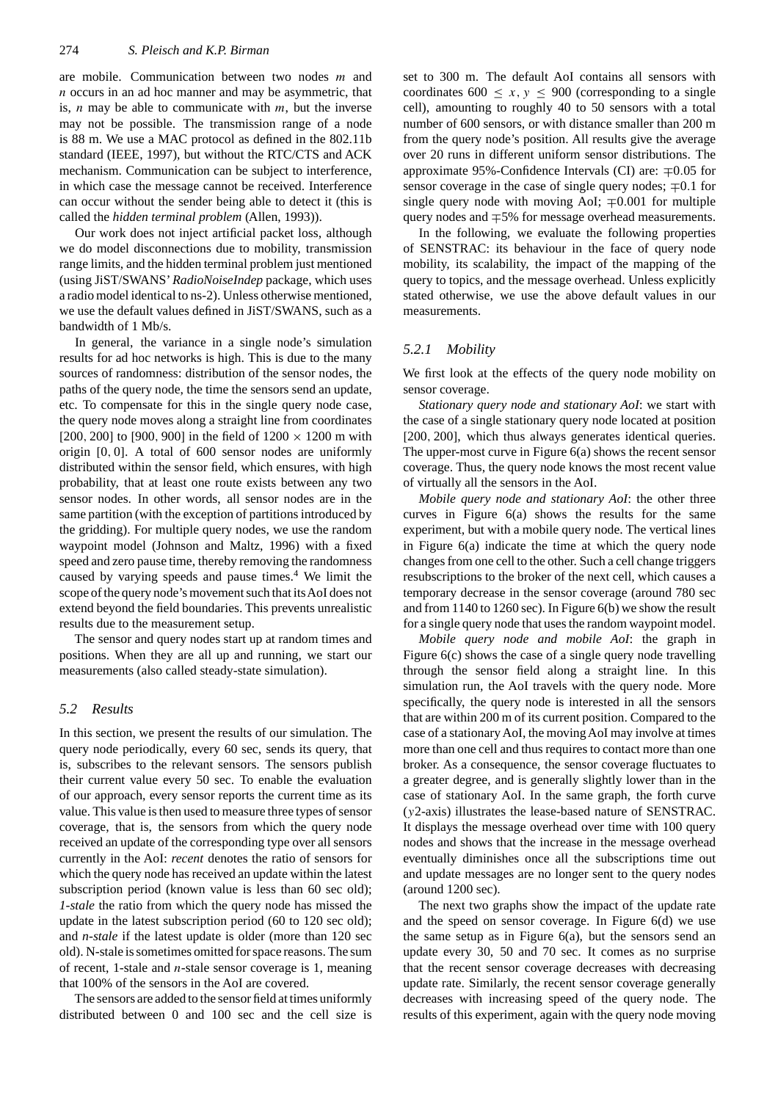are mobile. Communication between two nodes  $m$  and n occurs in an ad hoc manner and may be asymmetric, that is,  $n$  may be able to communicate with  $m$ , but the inverse may not be possible. The transmission range of a node is 88 m. We use a MAC protocol as defined in the 802.11b standard (IEEE, 1997), but without the RTC/CTS and ACK mechanism. Communication can be subject to interference, in which case the message cannot be received. Interference can occur without the sender being able to detect it (this is called the *hidden terminal problem* (Allen, 1993)).

Our work does not inject artificial packet loss, although we do model disconnections due to mobility, transmission range limits, and the hidden terminal problem just mentioned (using JiST/SWANS'*RadioNoiseIndep* package, which uses a radio model identical to ns-2). Unless otherwise mentioned, we use the default values defined in JiST/SWANS, such as a bandwidth of 1 Mb/s.

In general, the variance in a single node's simulation results for ad hoc networks is high. This is due to the many sources of randomness: distribution of the sensor nodes, the paths of the query node, the time the sensors send an update, etc. To compensate for this in the single query node case, the query node moves along a straight line from coordinates [200, 200] to [900, 900] in the field of  $1200 \times 1200$  m with origin [0, 0]. A total of 600 sensor nodes are uniformly distributed within the sensor field, which ensures, with high probability, that at least one route exists between any two sensor nodes. In other words, all sensor nodes are in the same partition (with the exception of partitions introduced by the gridding). For multiple query nodes, we use the random waypoint model (Johnson and Maltz, 1996) with a fixed speed and zero pause time, thereby removing the randomness caused by varying speeds and pause times.<sup>4</sup> We limit the scope of the query node's movement such that itsAoI does not extend beyond the field boundaries. This prevents unrealistic results due to the measurement setup.

The sensor and query nodes start up at random times and positions. When they are all up and running, we start our measurements (also called steady-state simulation).

## *5.2 Results*

In this section, we present the results of our simulation. The query node periodically, every 60 sec, sends its query, that is, subscribes to the relevant sensors. The sensors publish their current value every 50 sec. To enable the evaluation of our approach, every sensor reports the current time as its value. This value is then used to measure three types of sensor coverage, that is, the sensors from which the query node received an update of the corresponding type over all sensors currently in the AoI: *recent* denotes the ratio of sensors for which the query node has received an update within the latest subscription period (known value is less than 60 sec old); *1-stale* the ratio from which the query node has missed the update in the latest subscription period (60 to 120 sec old); and *n-stale* if the latest update is older (more than 120 sec old). N-stale is sometimes omitted for space reasons. The sum of recent, 1-stale and  $n$ -stale sensor coverage is 1, meaning that 100% of the sensors in the AoI are covered.

The sensors are added to the sensor field at times uniformly distributed between 0 and 100 sec and the cell size is

set to 300 m. The default AoI contains all sensors with coordinates 600  $\leq x, y \leq 900$  (corresponding to a single cell), amounting to roughly 40 to 50 sensors with a total number of 600 sensors, or with distance smaller than 200 m from the query node's position. All results give the average over 20 runs in different uniform sensor distributions. The approximate 95%-Confidence Intervals (CI) are: ∓0.05 for sensor coverage in the case of single query nodes;  $\mp 0.1$  for single query node with moving AoI;  $\mp 0.001$  for multiple query nodes and  $\mp$ 5% for message overhead measurements.

In the following, we evaluate the following properties of SENSTRAC: its behaviour in the face of query node mobility, its scalability, the impact of the mapping of the query to topics, and the message overhead. Unless explicitly stated otherwise, we use the above default values in our measurements.

## *5.2.1 Mobility*

We first look at the effects of the query node mobility on sensor coverage.

*Stationary query node and stationary AoI*: we start with the case of a single stationary query node located at position [200, 200], which thus always generates identical queries. The upper-most curve in Figure 6(a) shows the recent sensor coverage. Thus, the query node knows the most recent value of virtually all the sensors in the AoI.

*Mobile query node and stationary AoI*: the other three curves in Figure 6(a) shows the results for the same experiment, but with a mobile query node. The vertical lines in Figure 6(a) indicate the time at which the query node changes from one cell to the other. Such a cell change triggers resubscriptions to the broker of the next cell, which causes a temporary decrease in the sensor coverage (around 780 sec and from 1140 to 1260 sec). In Figure 6(b) we show the result for a single query node that uses the random waypoint model.

*Mobile query node and mobile AoI*: the graph in Figure 6(c) shows the case of a single query node travelling through the sensor field along a straight line. In this simulation run, the AoI travels with the query node. More specifically, the query node is interested in all the sensors that are within 200 m of its current position. Compared to the case of a stationary AoI, the moving AoI may involve at times more than one cell and thus requires to contact more than one broker. As a consequence, the sensor coverage fluctuates to a greater degree, and is generally slightly lower than in the case of stationary AoI. In the same graph, the forth curve (y2-axis) illustrates the lease-based nature of SENSTRAC. It displays the message overhead over time with 100 query nodes and shows that the increase in the message overhead eventually diminishes once all the subscriptions time out and update messages are no longer sent to the query nodes (around 1200 sec).

The next two graphs show the impact of the update rate and the speed on sensor coverage. In Figure 6(d) we use the same setup as in Figure 6(a), but the sensors send an update every 30, 50 and 70 sec. It comes as no surprise that the recent sensor coverage decreases with decreasing update rate. Similarly, the recent sensor coverage generally decreases with increasing speed of the query node. The results of this experiment, again with the query node moving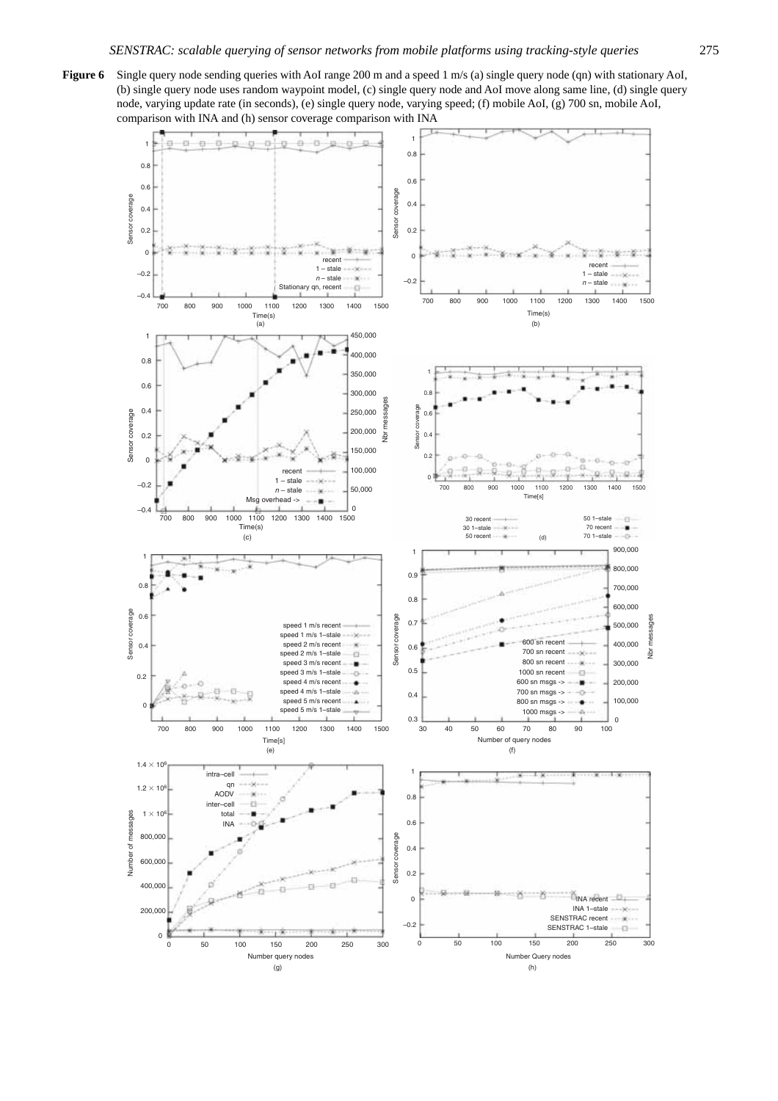**Figure 6** Single query node sending queries with AoI range 200 m and a speed 1 m/s (a) single query node (qn) with stationary AoI, (b) single query node uses random waypoint model, (c) single query node and AoI move along same line, (d) single query node, varying update rate (in seconds), (e) single query node, varying speed; (f) mobile AoI, (g) 700 sn, mobile AoI, comparison with INA and (h) sensor coverage comparison with INA

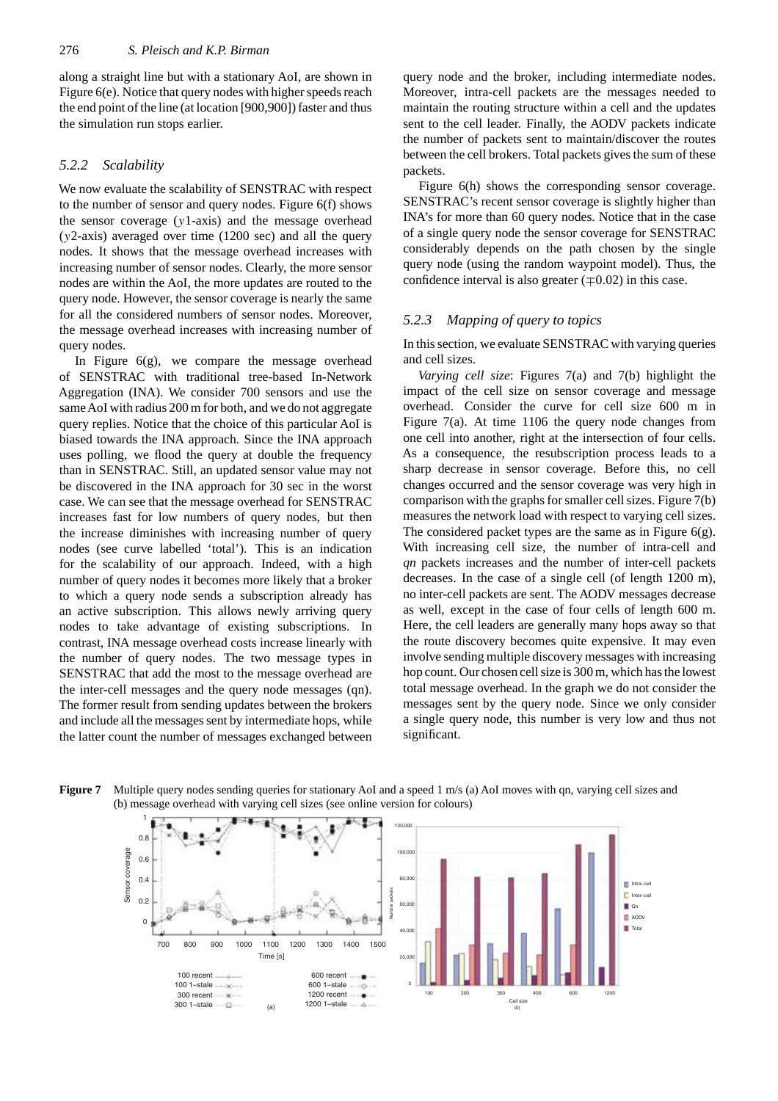along a straight line but with a stationary AoI, are shown in Figure 6(e). Notice that query nodes with higher speeds reach the end point of the line (at location [900,900]) faster and thus the simulation run stops earlier.

## *5.2.2 Scalability*

We now evaluate the scalability of SENSTRAC with respect to the number of sensor and query nodes. Figure 6(f) shows the sensor coverage (y1-axis) and the message overhead  $(y2-axis)$  averaged over time  $(1200 \text{ sec})$  and all the query nodes. It shows that the message overhead increases with increasing number of sensor nodes. Clearly, the more sensor nodes are within the AoI, the more updates are routed to the query node. However, the sensor coverage is nearly the same for all the considered numbers of sensor nodes. Moreover, the message overhead increases with increasing number of query nodes.

In Figure  $6(g)$ , we compare the message overhead of SENSTRAC with traditional tree-based In-Network Aggregation (INA). We consider 700 sensors and use the sameAoI with radius 200 m for both, and we do not aggregate query replies. Notice that the choice of this particular AoI is biased towards the INA approach. Since the INA approach uses polling, we flood the query at double the frequency than in SENSTRAC. Still, an updated sensor value may not be discovered in the INA approach for 30 sec in the worst case. We can see that the message overhead for SENSTRAC increases fast for low numbers of query nodes, but then the increase diminishes with increasing number of query nodes (see curve labelled 'total'). This is an indication for the scalability of our approach. Indeed, with a high number of query nodes it becomes more likely that a broker to which a query node sends a subscription already has an active subscription. This allows newly arriving query nodes to take advantage of existing subscriptions. In contrast, INA message overhead costs increase linearly with the number of query nodes. The two message types in SENSTRAC that add the most to the message overhead are the inter-cell messages and the query node messages (qn). The former result from sending updates between the brokers and include all the messages sent by intermediate hops, while the latter count the number of messages exchanged between

query node and the broker, including intermediate nodes. Moreover, intra-cell packets are the messages needed to maintain the routing structure within a cell and the updates sent to the cell leader. Finally, the AODV packets indicate the number of packets sent to maintain/discover the routes between the cell brokers. Total packets gives the sum of these packets.

Figure 6(h) shows the corresponding sensor coverage. SENSTRAC's recent sensor coverage is slightly higher than INA's for more than 60 query nodes. Notice that in the case of a single query node the sensor coverage for SENSTRAC considerably depends on the path chosen by the single query node (using the random waypoint model). Thus, the confidence interval is also greater  $(π0.02)$  in this case.

## *5.2.3 Mapping of query to topics*

In this section, we evaluate SENSTRAC with varying queries and cell sizes.

*Varying cell size*: Figures 7(a) and 7(b) highlight the impact of the cell size on sensor coverage and message overhead. Consider the curve for cell size 600 m in Figure 7(a). At time 1106 the query node changes from one cell into another, right at the intersection of four cells. As a consequence, the resubscription process leads to a sharp decrease in sensor coverage. Before this, no cell changes occurred and the sensor coverage was very high in comparison with the graphs for smaller cell sizes. Figure 7(b) measures the network load with respect to varying cell sizes. The considered packet types are the same as in Figure 6(g). With increasing cell size, the number of intra-cell and *qn* packets increases and the number of inter-cell packets decreases. In the case of a single cell (of length 1200 m), no inter-cell packets are sent. The AODV messages decrease as well, except in the case of four cells of length 600 m. Here, the cell leaders are generally many hops away so that the route discovery becomes quite expensive. It may even involve sending multiple discovery messages with increasing hop count. Our chosen cell size is 300 m, which has the lowest total message overhead. In the graph we do not consider the messages sent by the query node. Since we only consider a single query node, this number is very low and thus not significant.



**Figure 7** Multiple query nodes sending queries for stationary AoI and a speed 1 m/s (a) AoI moves with qn, varying cell sizes and (b) message overhead with varying cell sizes (see online version for colours)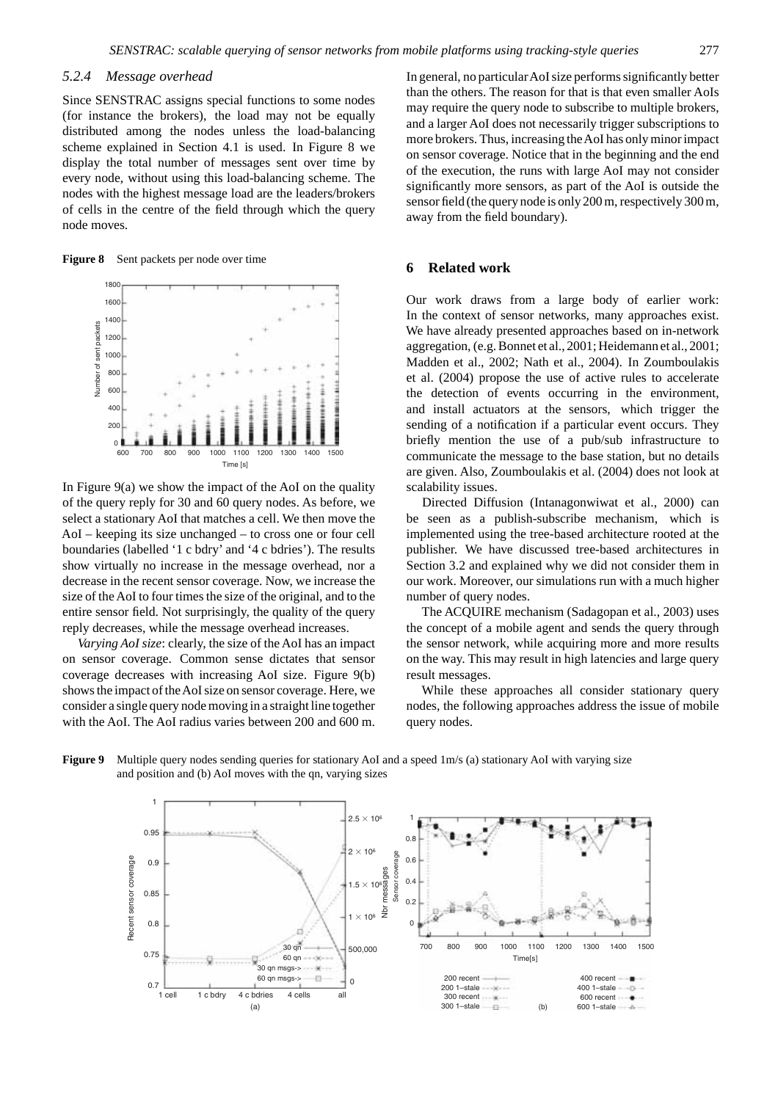#### *5.2.4 Message overhead*

Since SENSTRAC assigns special functions to some nodes (for instance the brokers), the load may not be equally distributed among the nodes unless the load-balancing scheme explained in Section 4.1 is used. In Figure 8 we display the total number of messages sent over time by every node, without using this load-balancing scheme. The nodes with the highest message load are the leaders/brokers of cells in the centre of the field through which the query node moves.

#### **Figure 8** Sent packets per node over time



In Figure  $9(a)$  we show the impact of the AoI on the quality of the query reply for 30 and 60 query nodes. As before, we select a stationary AoI that matches a cell. We then move the AoI – keeping its size unchanged – to cross one or four cell boundaries (labelled '1 c bdry' and '4 c bdries'). The results show virtually no increase in the message overhead, nor a decrease in the recent sensor coverage. Now, we increase the size of the AoI to four times the size of the original, and to the entire sensor field. Not surprisingly, the quality of the query reply decreases, while the message overhead increases.

*Varying AoI size*: clearly, the size of the AoI has an impact on sensor coverage. Common sense dictates that sensor coverage decreases with increasing AoI size. Figure 9(b) shows the impact of the AoI size on sensor coverage. Here, we consider a single query node moving in a straight line together with the AoI. The AoI radius varies between 200 and 600 m.

In general, no particularAoI size performs significantly better than the others. The reason for that is that even smaller AoIs may require the query node to subscribe to multiple brokers, and a larger AoI does not necessarily trigger subscriptions to more brokers. Thus, increasing theAoI has only minor impact on sensor coverage. Notice that in the beginning and the end of the execution, the runs with large AoI may not consider significantly more sensors, as part of the AoI is outside the sensor field (the query node is only 200 m, respectively 300 m, away from the field boundary).

## **6 Related work**

Our work draws from a large body of earlier work: In the context of sensor networks, many approaches exist. We have already presented approaches based on in-network aggregation, (e.g. Bonnet et al., 2001; Heidemann et al., 2001; Madden et al., 2002; Nath et al., 2004). In Zoumboulakis et al. (2004) propose the use of active rules to accelerate the detection of events occurring in the environment, and install actuators at the sensors, which trigger the sending of a notification if a particular event occurs. They briefly mention the use of a pub/sub infrastructure to communicate the message to the base station, but no details are given. Also, Zoumboulakis et al. (2004) does not look at scalability issues.

Directed Diffusion (Intanagonwiwat et al., 2000) can be seen as a publish-subscribe mechanism, which is implemented using the tree-based architecture rooted at the publisher. We have discussed tree-based architectures in Section 3.2 and explained why we did not consider them in our work. Moreover, our simulations run with a much higher number of query nodes.

The ACQUIRE mechanism (Sadagopan et al., 2003) uses the concept of a mobile agent and sends the query through the sensor network, while acquiring more and more results on the way. This may result in high latencies and large query result messages.

While these approaches all consider stationary query nodes, the following approaches address the issue of mobile query nodes.



**Figure 9** Multiple query nodes sending queries for stationary AoI and a speed 1m/s (a) stationary AoI with varying size and position and (b) AoI moves with the qn, varying sizes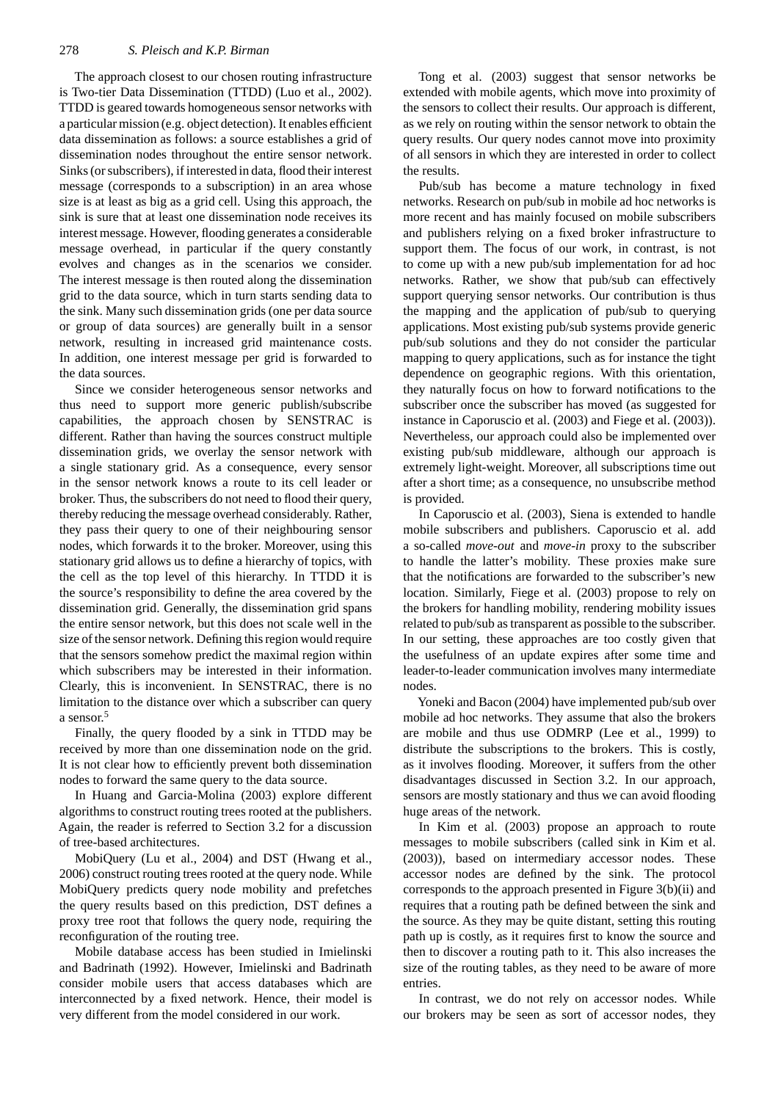## 278 *S. Pleisch and K.P. Birman*

The approach closest to our chosen routing infrastructure is Two-tier Data Dissemination (TTDD) (Luo et al., 2002). TTDD is geared towards homogeneous sensor networks with a particular mission (e.g. object detection). It enables efficient data dissemination as follows: a source establishes a grid of dissemination nodes throughout the entire sensor network. Sinks (or subscribers), if interested in data, flood their interest message (corresponds to a subscription) in an area whose size is at least as big as a grid cell. Using this approach, the sink is sure that at least one dissemination node receives its interest message. However, flooding generates a considerable message overhead, in particular if the query constantly evolves and changes as in the scenarios we consider. The interest message is then routed along the dissemination grid to the data source, which in turn starts sending data to the sink. Many such dissemination grids (one per data source or group of data sources) are generally built in a sensor network, resulting in increased grid maintenance costs. In addition, one interest message per grid is forwarded to the data sources.

Since we consider heterogeneous sensor networks and thus need to support more generic publish/subscribe capabilities, the approach chosen by SENSTRAC is different. Rather than having the sources construct multiple dissemination grids, we overlay the sensor network with a single stationary grid. As a consequence, every sensor in the sensor network knows a route to its cell leader or broker. Thus, the subscribers do not need to flood their query, thereby reducing the message overhead considerably. Rather, they pass their query to one of their neighbouring sensor nodes, which forwards it to the broker. Moreover, using this stationary grid allows us to define a hierarchy of topics, with the cell as the top level of this hierarchy. In TTDD it is the source's responsibility to define the area covered by the dissemination grid. Generally, the dissemination grid spans the entire sensor network, but this does not scale well in the size of the sensor network. Defining this region would require that the sensors somehow predict the maximal region within which subscribers may be interested in their information. Clearly, this is inconvenient. In SENSTRAC, there is no limitation to the distance over which a subscriber can query a sensor.<sup>5</sup>

Finally, the query flooded by a sink in TTDD may be received by more than one dissemination node on the grid. It is not clear how to efficiently prevent both dissemination nodes to forward the same query to the data source.

In Huang and Garcia-Molina (2003) explore different algorithms to construct routing trees rooted at the publishers. Again, the reader is referred to Section 3.2 for a discussion of tree-based architectures.

MobiQuery (Lu et al., 2004) and DST (Hwang et al., 2006) construct routing trees rooted at the query node. While MobiQuery predicts query node mobility and prefetches the query results based on this prediction, DST defines a proxy tree root that follows the query node, requiring the reconfiguration of the routing tree.

Mobile database access has been studied in Imielinski and Badrinath (1992). However, Imielinski and Badrinath consider mobile users that access databases which are interconnected by a fixed network. Hence, their model is very different from the model considered in our work.

Tong et al. (2003) suggest that sensor networks be extended with mobile agents, which move into proximity of the sensors to collect their results. Our approach is different, as we rely on routing within the sensor network to obtain the query results. Our query nodes cannot move into proximity of all sensors in which they are interested in order to collect the results.

Pub/sub has become a mature technology in fixed networks. Research on pub/sub in mobile ad hoc networks is more recent and has mainly focused on mobile subscribers and publishers relying on a fixed broker infrastructure to support them. The focus of our work, in contrast, is not to come up with a new pub/sub implementation for ad hoc networks. Rather, we show that pub/sub can effectively support querying sensor networks. Our contribution is thus the mapping and the application of pub/sub to querying applications. Most existing pub/sub systems provide generic pub/sub solutions and they do not consider the particular mapping to query applications, such as for instance the tight dependence on geographic regions. With this orientation, they naturally focus on how to forward notifications to the subscriber once the subscriber has moved (as suggested for instance in Caporuscio et al. (2003) and Fiege et al. (2003)). Nevertheless, our approach could also be implemented over existing pub/sub middleware, although our approach is extremely light-weight. Moreover, all subscriptions time out after a short time; as a consequence, no unsubscribe method is provided.

In Caporuscio et al. (2003), Siena is extended to handle mobile subscribers and publishers. Caporuscio et al. add a so-called *move-out* and *move-in* proxy to the subscriber to handle the latter's mobility. These proxies make sure that the notifications are forwarded to the subscriber's new location. Similarly, Fiege et al. (2003) propose to rely on the brokers for handling mobility, rendering mobility issues related to pub/sub as transparent as possible to the subscriber. In our setting, these approaches are too costly given that the usefulness of an update expires after some time and leader-to-leader communication involves many intermediate nodes.

Yoneki and Bacon (2004) have implemented pub/sub over mobile ad hoc networks. They assume that also the brokers are mobile and thus use ODMRP (Lee et al., 1999) to distribute the subscriptions to the brokers. This is costly, as it involves flooding. Moreover, it suffers from the other disadvantages discussed in Section 3.2. In our approach, sensors are mostly stationary and thus we can avoid flooding huge areas of the network.

In Kim et al. (2003) propose an approach to route messages to mobile subscribers (called sink in Kim et al. (2003)), based on intermediary accessor nodes. These accessor nodes are defined by the sink. The protocol corresponds to the approach presented in Figure 3(b)(ii) and requires that a routing path be defined between the sink and the source. As they may be quite distant, setting this routing path up is costly, as it requires first to know the source and then to discover a routing path to it. This also increases the size of the routing tables, as they need to be aware of more entries.

In contrast, we do not rely on accessor nodes. While our brokers may be seen as sort of accessor nodes, they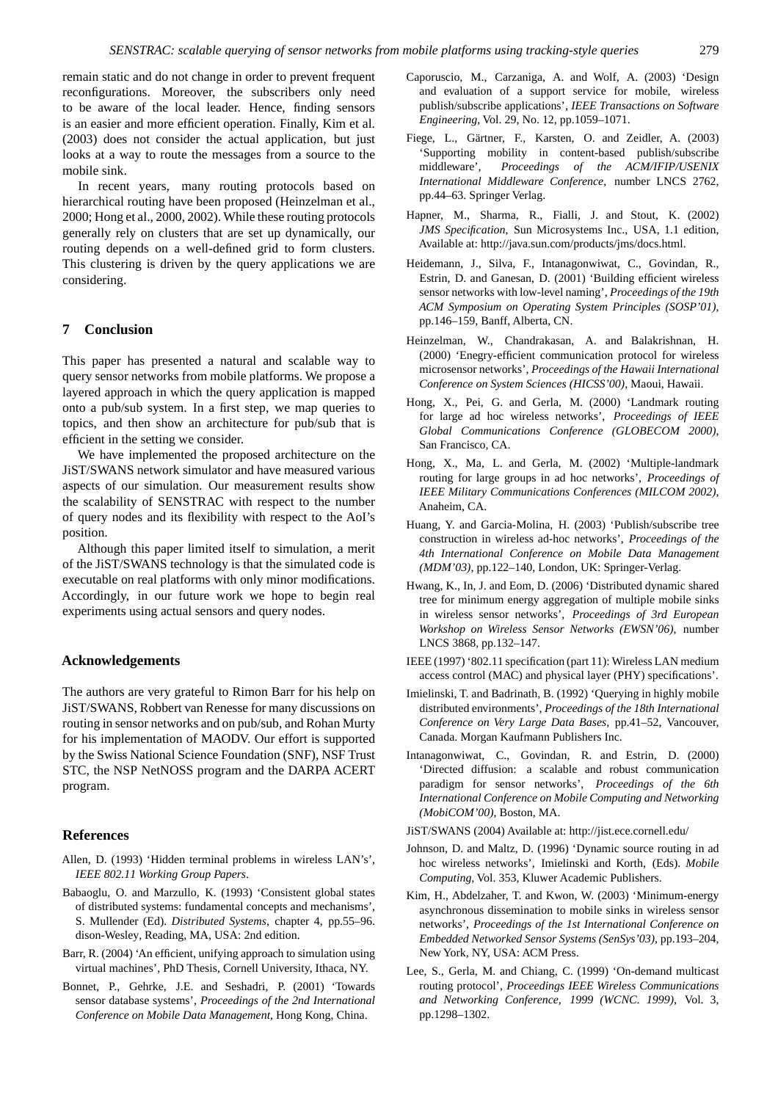remain static and do not change in order to prevent frequent reconfigurations. Moreover, the subscribers only need to be aware of the local leader. Hence, finding sensors is an easier and more efficient operation. Finally, Kim et al. (2003) does not consider the actual application, but just looks at a way to route the messages from a source to the mobile sink.

In recent years, many routing protocols based on hierarchical routing have been proposed (Heinzelman et al., 2000; Hong et al., 2000, 2002). While these routing protocols generally rely on clusters that are set up dynamically, our routing depends on a well-defined grid to form clusters. This clustering is driven by the query applications we are considering.

#### **7 Conclusion**

This paper has presented a natural and scalable way to query sensor networks from mobile platforms. We propose a layered approach in which the query application is mapped onto a pub/sub system. In a first step, we map queries to topics, and then show an architecture for pub/sub that is efficient in the setting we consider.

We have implemented the proposed architecture on the JiST/SWANS network simulator and have measured various aspects of our simulation. Our measurement results show the scalability of SENSTRAC with respect to the number of query nodes and its flexibility with respect to the AoI's position.

Although this paper limited itself to simulation, a merit of the JiST/SWANS technology is that the simulated code is executable on real platforms with only minor modifications. Accordingly, in our future work we hope to begin real experiments using actual sensors and query nodes.

#### **Acknowledgements**

The authors are very grateful to Rimon Barr for his help on JiST/SWANS, Robbert van Renesse for many discussions on routing in sensor networks and on pub/sub, and Rohan Murty for his implementation of MAODV. Our effort is supported by the Swiss National Science Foundation (SNF), NSF Trust STC, the NSP NetNOSS program and the DARPA ACERT program.

#### **References**

- Allen, D. (1993) 'Hidden terminal problems in wireless LAN's', *IEEE 802.11 Working Group Papers*.
- Babaoglu, O. and Marzullo, K. (1993) 'Consistent global states of distributed systems: fundamental concepts and mechanisms', S. Mullender (Ed). *Distributed Systems*, chapter 4, pp.55–96. dison-Wesley, Reading, MA, USA: 2nd edition.
- Barr, R. (2004) 'An efficient, unifying approach to simulation using virtual machines', PhD Thesis, Cornell University, Ithaca, NY.
- Bonnet, P., Gehrke, J.E. and Seshadri, P. (2001) 'Towards sensor database systems', *Proceedings of the 2nd International Conference on Mobile Data Management*, Hong Kong, China.
- Caporuscio, M., Carzaniga, A. and Wolf, A. (2003) 'Design and evaluation of a support service for mobile, wireless publish/subscribe applications', *IEEE Transactions on Software Engineering*, Vol. 29, No. 12, pp.1059–1071.
- Fiege, L., Gärtner, F., Karsten, O. and Zeidler, A. (2003) 'Supporting mobility in content-based publish/subscribe middleware', *Proceedings of the ACM/IFIP/USENIX International Middleware Conference*, number LNCS 2762, pp.44–63. Springer Verlag.
- Hapner, M., Sharma, R., Fialli, J. and Stout, K. (2002) *JMS Specification*, Sun Microsystems Inc., USA, 1.1 edition, Available at: http://java.sun.com/products/jms/docs.html.
- Heidemann, J., Silva, F., Intanagonwiwat, C., Govindan, R., Estrin, D. and Ganesan, D. (2001) 'Building efficient wireless sensor networks with low-level naming', *Proceedings of the 19th ACM Symposium on Operating System Principles (SOSP'01)*, pp.146–159, Banff, Alberta, CN.
- Heinzelman, W., Chandrakasan, A. and Balakrishnan, H. (2000) 'Enegry-efficient communication protocol for wireless microsensor networks', *Proceedings of the Hawaii International Conference on System Sciences (HICSS'00)*, Maoui, Hawaii.
- Hong, X., Pei, G. and Gerla, M. (2000) 'Landmark routing for large ad hoc wireless networks', *Proceedings of IEEE Global Communications Conference (GLOBECOM 2000)*, San Francisco, CA.
- Hong, X., Ma, L. and Gerla, M. (2002) 'Multiple-landmark routing for large groups in ad hoc networks', *Proceedings of IEEE Military Communications Conferences (MILCOM 2002)*, Anaheim, CA.
- Huang, Y. and Garcia-Molina, H. (2003) 'Publish/subscribe tree construction in wireless ad-hoc networks', *Proceedings of the 4th International Conference on Mobile Data Management (MDM'03)*, pp.122–140, London, UK: Springer-Verlag.
- Hwang, K., In, J. and Eom, D. (2006) 'Distributed dynamic shared tree for minimum energy aggregation of multiple mobile sinks in wireless sensor networks', *Proceedings of 3rd European Workshop on Wireless Sensor Networks (EWSN'06)*, number LNCS 3868, pp.132–147.
- IEEE (1997) '802.11 specification (part 11): Wireless LAN medium access control (MAC) and physical layer (PHY) specifications'.
- Imielinski, T. and Badrinath, B. (1992) 'Querying in highly mobile distributed environments', *Proceedings of the 18th International Conference on Very Large Data Bases*, pp.41–52, Vancouver, Canada. Morgan Kaufmann Publishers Inc.
- Intanagonwiwat, C., Govindan, R. and Estrin, D. (2000) 'Directed diffusion: a scalable and robust communication paradigm for sensor networks', *Proceedings of the 6th International Conference on Mobile Computing and Networking (MobiCOM'00)*, Boston, MA.
- JiST/SWANS (2004) Available at: http://jist.ece.cornell.edu/
- Johnson, D. and Maltz, D. (1996) 'Dynamic source routing in ad hoc wireless networks', Imielinski and Korth, (Eds). *Mobile Computing*, Vol. 353, Kluwer Academic Publishers.
- Kim, H., Abdelzaher, T. and Kwon, W. (2003) 'Minimum-energy asynchronous dissemination to mobile sinks in wireless sensor networks', *Proceedings of the 1st International Conference on Embedded Networked Sensor Systems (SenSys'03)*, pp.193–204, New York, NY, USA: ACM Press.
- Lee, S., Gerla, M. and Chiang, C. (1999) 'On-demand multicast routing protocol', *Proceedings IEEE Wireless Communications and Networking Conference, 1999 (WCNC. 1999)*, Vol. 3, pp.1298–1302.